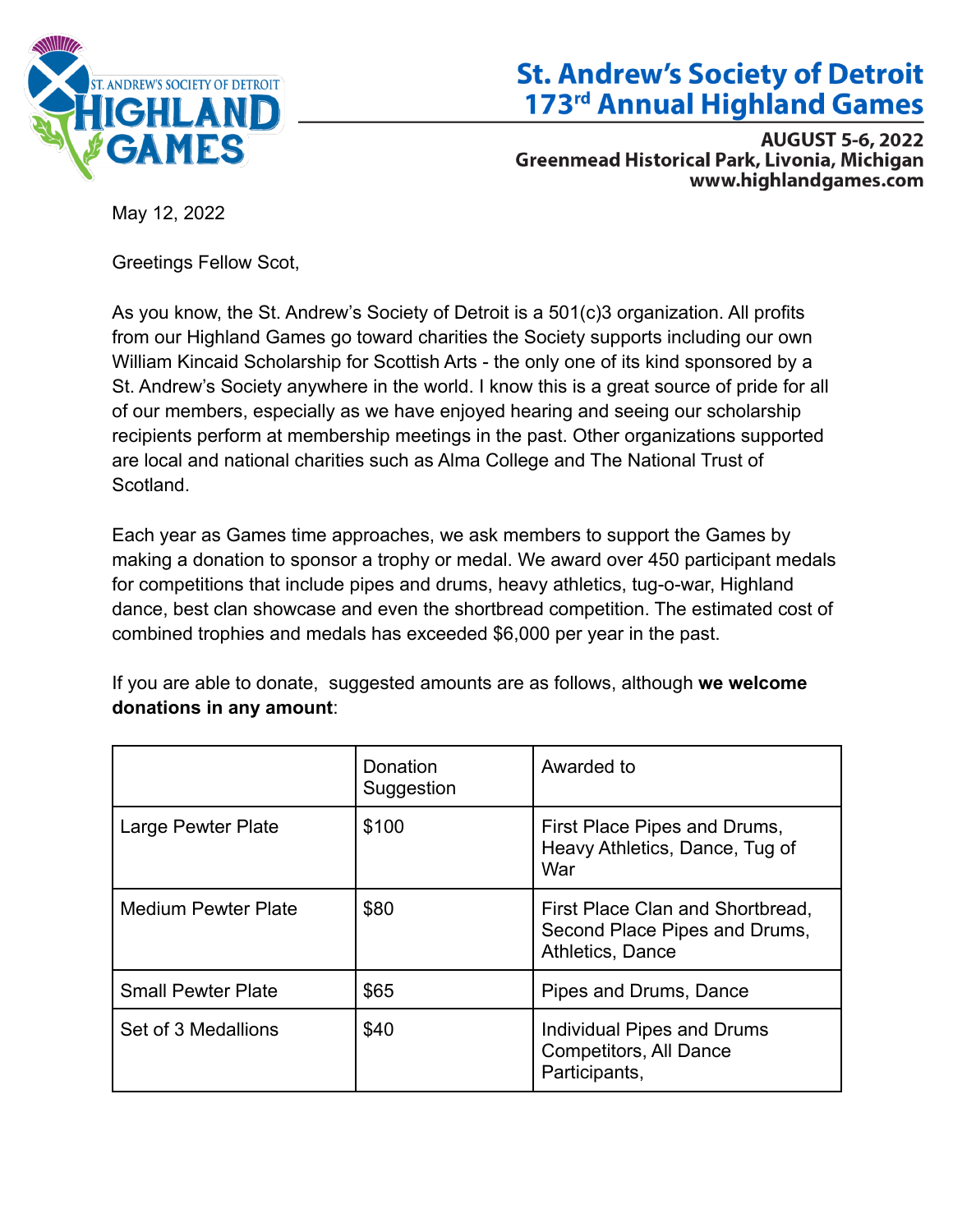

## **St. Andrew's Society of Detroit** 173<sup>rd</sup> Annual Highland Games

**AUGUST 5-6, 2022 Greenmead Historical Park, Livonia, Michigan** www.highlandgames.com

May 12, 2022

Greetings Fellow Scot,

As you know, the St. Andrew's Society of Detroit is a 501(c)3 organization. All profits from our Highland Games go toward charities the Society supports including our own William Kincaid Scholarship for Scottish Arts - the only one of its kind sponsored by a St. Andrew's Society anywhere in the world. I know this is a great source of pride for all of our members, especially as we have enjoyed hearing and seeing our scholarship recipients perform at membership meetings in the past. Other organizations supported are local and national charities such as Alma College and The National Trust of Scotland.

Each year as Games time approaches, we ask members to support the Games by making a donation to sponsor a trophy or medal. We award over 450 participant medals for competitions that include pipes and drums, heavy athletics, tug-o-war, Highland dance, best clan showcase and even the shortbread competition. The estimated cost of combined trophies and medals has exceeded \$6,000 per year in the past.

If you are able to donate, suggested amounts are as follows, although **we welcome donations in any amount**:

|                            | Donation<br>Suggestion | Awarded to                                                                            |
|----------------------------|------------------------|---------------------------------------------------------------------------------------|
| Large Pewter Plate         | \$100                  | First Place Pipes and Drums,<br>Heavy Athletics, Dance, Tug of<br>War                 |
| <b>Medium Pewter Plate</b> | \$80                   | First Place Clan and Shortbread,<br>Second Place Pipes and Drums,<br>Athletics, Dance |
| <b>Small Pewter Plate</b>  | \$65                   | Pipes and Drums, Dance                                                                |
| Set of 3 Medallions        | \$40                   | Individual Pipes and Drums<br><b>Competitors, All Dance</b><br>Participants,          |